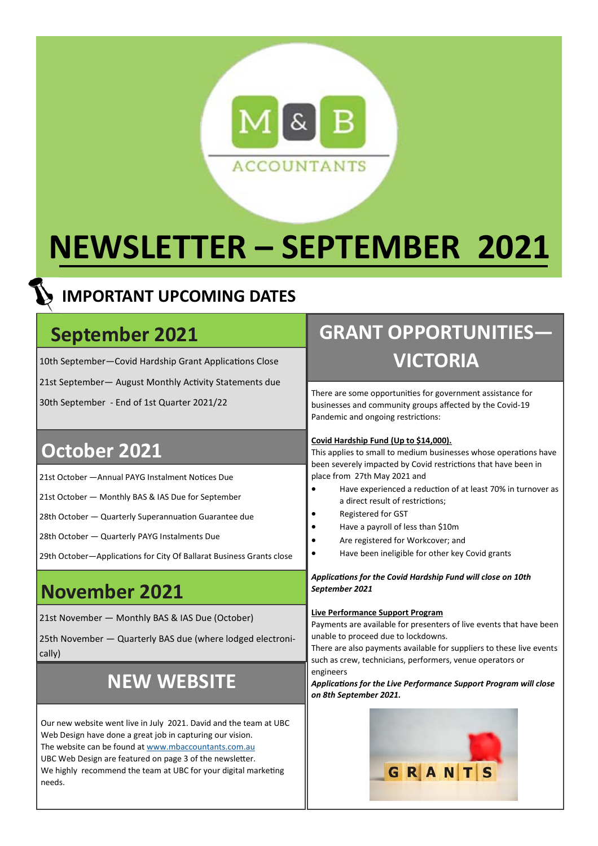

# **NEWSLETTER – SEPTEMBER 2021**

#### **IMPORTANT UPCOMING DATES**

### **September 2021**

10th September-Covid Hardship Grant Applications Close

21st September - August Monthly Activity Statements due

30th September - End of 1st Quarter 2021/22

#### **October 2021**

21st October - Annual PAYG Instalment Notices Due

21st October — Monthly BAS & IAS Due for September

28th October - Quarterly Superannuation Guarantee due

28th October — Quarterly PAYG Instalments Due

29th October-Applications for City Of Ballarat Business Grants close

### **November 2021**

21st November — Monthly BAS & IAS Due (October)

25th November — Quarterly BAS due (where lodged electronically)

## **NEW WEBSITE**

Our new website went live in July 2021. David and the team at UBC Web Design have done a great job in capturing our vision. The website can be found at www.mbaccountants.com.au UBC Web Design are featured on page 3 of the newsletter. We highly recommend the team at UBC for your digital marketing needs.

# **GRANT OPPORTUNITIES— VICTORIA**

There are some opportunities for government assistance for businesses and community groups affected by the Covid-19 Pandemic and ongoing restrictions:

#### **Covid Hardship Fund (Up to \$14,000).**

This applies to small to medium businesses whose operations have been severely impacted by Covid restrictions that have been in place from 27th May 2021 and

- Have experienced a reduction of at least 70% in turnover as a direct result of restrictions;
- Registered for GST
- Have a payroll of less than \$10m
- Are registered for Workcover; and
- Have been ineligible for other key Covid grants

#### *ApplicaƟons for the Covid Hardship Fund will close on 10th September 2021*

#### **Live Performance Support Program**

Payments are available for presenters of live events that have been unable to proceed due to lockdowns.

There are also payments available for suppliers to these live events such as crew, technicians, performers, venue operators or engineers

*ApplicaƟons for the Live Performance Support Program will close on 8th September 2021.* 

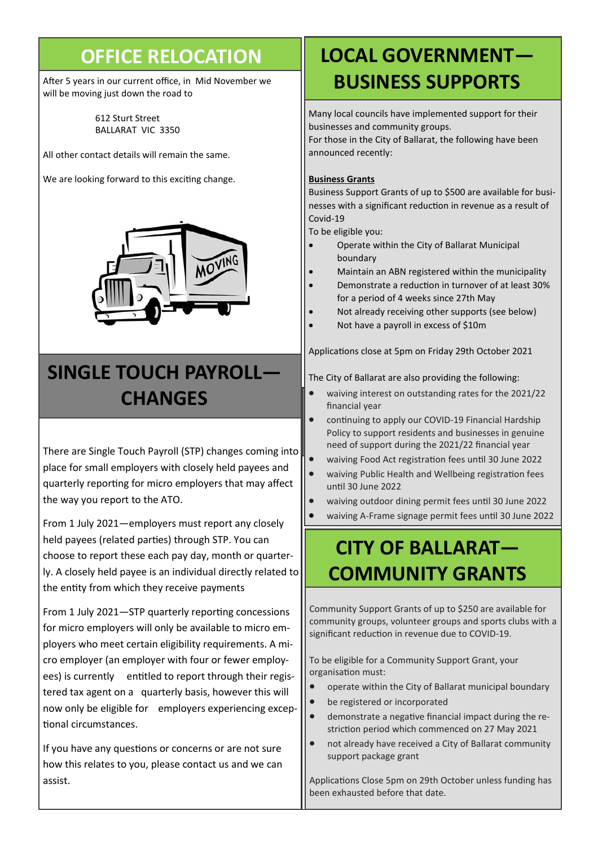### **OFFICE RELOCATION**

After 5 years in our current office, in Mid November we will be moving just down the road to

> 612 Sturt Street BALLARAT VIC 3350

All other contact details will remain the same.

We are looking forward to this exciting change.



# **SINGLE TOUCH PAYROLL— CHANGES**

There are Single Touch Payroll (STP) changes coming into place for small employers with closely held payees and quarterly reporting for micro employers that may affect the way you report to the ATO.

From 1 July 2021—employers must report any closely held payees (related parties) through STP. You can choose to report these each pay day, month or quarterly. A closely held payee is an individual directly related to the entity from which they receive payments

From 1 July 2021-STP quarterly reporting concessions for micro employers will only be available to micro employers who meet certain eligibility requirements. A micro employer (an employer with four or fewer employees) is currently entitled to report through their registered tax agent on a quarterly basis, however this will now only be eligible for employers experiencing excep-Ɵonal circumstances.

If you have any questions or concerns or are not sure how this relates to you, please contact us and we can assist.

# **LOCAL GOVERNMENT— BUSINESS SUPPORTS**

Many local councils have implemented support for their businesses and community groups.

For those in the City of Ballarat, the following have been announced recently:

#### **Business Grants**

Business Support Grants of up to \$500 are available for businesses with a significant reduction in revenue as a result of Covid-19

To be eligible you:

- Operate within the City of Ballarat Municipal boundary
- Maintain an ABN registered within the municipality
- Demonstrate a reducƟon in turnover of at least 30% for a period of 4 weeks since 27th May
- Not already receiving other supports (see below)
- Not have a payroll in excess of \$10m

Applications close at 5pm on Friday 29th October 2021

The City of Ballarat are also providing the following:

- waiving interest on outstanding rates for the 2021/22 financial year
- continuing to apply our COVID-19 Financial Hardship Policy to support residents and businesses in genuine need of support during the 2021/22 financial year
- waiving Food Act registration fees until 30 June 2022
- waiving Public Health and Wellbeing registration fees unƟl 30 June 2022
- waiving outdoor dining permit fees until 30 June 2022
- waiving A-Frame signage permit fees unƟl 30 June 2022

# **CITY OF BALLARAT— COMMUNITY GRANTS**

Community Support Grants of up to \$250 are available for community groups, volunteer groups and sports clubs with a significant reduction in revenue due to COVID-19.

To be eligible for a Community Support Grant, your organisation must:

- operate within the City of Ballarat municipal boundary
- be registered or incorporated
- demonstrate a negative financial impact during the restriction period which commenced on 27 May 2021
- not already have received a City of Ballarat community support package grant

Applications Close 5pm on 29th October unless funding has been exhausted before that date.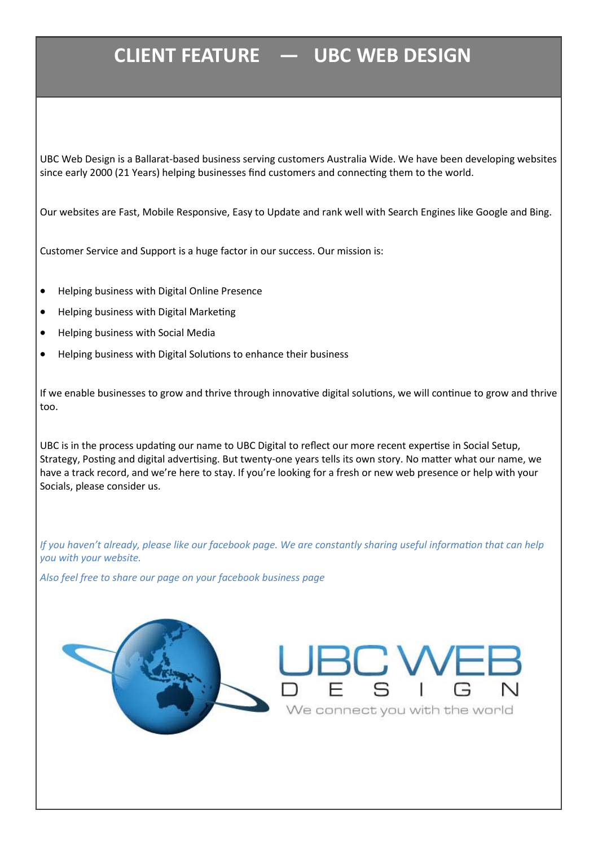# **CLIENT FEATURE — UBC WEB DESIGN**

UBC Web Design is a Ballarat-based business serving customers Australia Wide. We have been developing websites since early 2000 (21 Years) helping businesses find customers and connecting them to the world.

Our websites are Fast, Mobile Responsive, Easy to Update and rank well with Search Engines like Google and Bing.

Customer Service and Support is a huge factor in our success. Our mission is:

- Helping business with Digital Online Presence
- Helping business with Digital Marketing
- Helping business with Social Media
- Helping business with Digital Solutions to enhance their business

If we enable businesses to grow and thrive through innovative digital solutions, we will continue to grow and thrive too.

UBC is in the process updating our name to UBC Digital to reflect our more recent expertise in Social Setup, Strategy, Posting and digital advertising. But twenty-one years tells its own story. No matter what our name, we have a track record, and we're here to stay. If you're looking for a fresh or new web presence or help with your Socials, please consider us.

*If you haven't already, please like our facebook page. We are constantly sharing useful information that can help you with your website.* 

*Also feel free to share our page on your facebook business page*